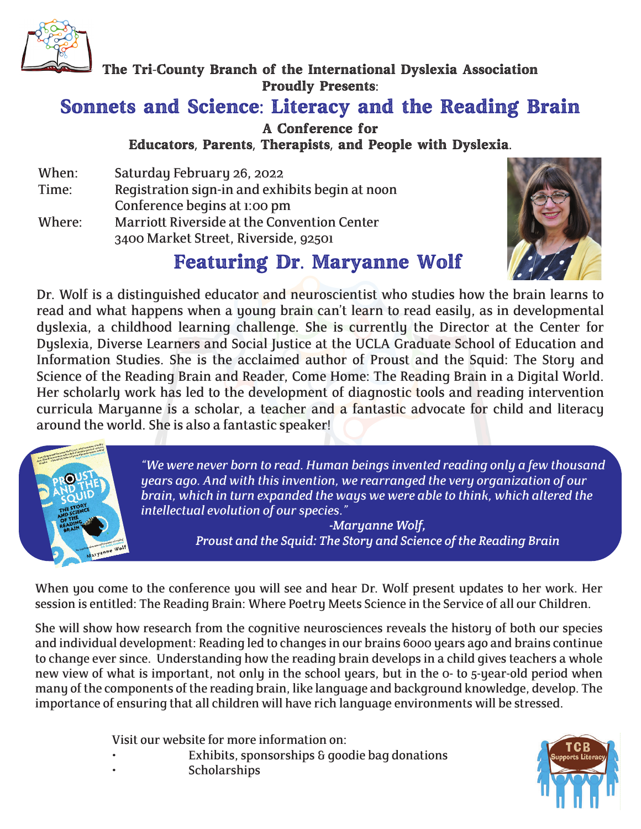

The Tri-County Branch of the International Dyslexia Association Proudly Presents:

## Sonnets and Science: Literacy and the Reading Brain

A Conference for Educators, Parents, Therapists, and People with Dyslexia.

When: Saturday February 26, 2022 Time: Registration sign-in and exhibits begin at noon Conference begins at 1:00 pm Where: Marriott Riverside at the Convention Center 3400 Market Street, Riverside, 92501

## Featuring Dr. Maryanne Wolf



Dr. Wolf is a distinguished educator and neuroscientist who studies how the brain learns to read and what happens when a young brain can't learn to read easily, as in developmental dyslexia, a childhood learning challenge. She is currently the Director at the Center for Dyslexia, Diverse Learners and Social Justice at the UCLA Graduate School of Education and Information Studies. She is the acclaimed author of Proust and the Squid: The Story and Science of the Reading Brain and Reader, Come Home: The Reading Brain in a Digital World. Her scholarly work has led to the development of diagnostic tools and reading intervention curricula Maryanne is a scholar, a teacher and a fantastic advocate for child and literacy around the world. She is also a fantastic speaker!



*"We were never born to read. Human beings invented reading only a few thousand years ago. And with this invention, we rearranged the very organization of our brain, which in turn expanded the ways we were able to think, which altered the intellectual evolution of our species."* 

*-Maryanne Wolf, Proust and the Squid: The Story and Science of the Reading Brain*

When you come to the conference you will see and hear Dr. Wolf present updates to her work. Her session is entitled: The Reading Brain: Where Poetry Meets Science in the Service of all our Children.

She will show how research from the cognitive neurosciences reveals the history of both our species and individual development: Reading led to changes in our brains 6000 years ago and brains continue to change ever since. Understanding how the reading brain develops in a child gives teachers a whole new view of what is important, not only in the school years, but in the 0- to 5-year-old period when many of the components of the reading brain, like language and background knowledge, develop. The importance of ensuring that all children will have rich language environments will be stressed.

Visit our website for more information on:

Exhibits, sponsorships & goodie bag donations **Scholarships**